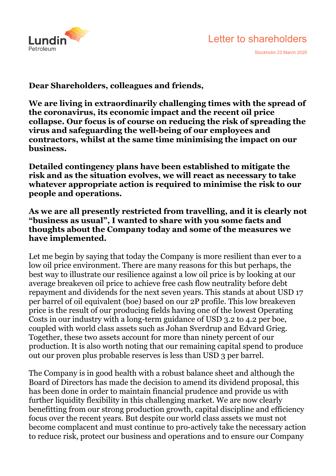



Stockholm 23 March 2020

**Dear Shareholders, colleagues and friends,** 

**We are living in extraordinarily challenging times with the spread of the coronavirus, its economic impact and the recent oil price collapse. Our focus is of course on reducing the risk of spreading the virus and safeguarding the well-being of our employees and contractors, whilst at the same time minimising the impact on our business.** 

**Detailed contingency plans have been established to mitigate the risk and as the situation evolves, we will react as necessary to take whatever appropriate action is required to minimise the risk to our people and operations.** 

**As we are all presently restricted from travelling, and it is clearly not "business as usual", I wanted to share with you some facts and thoughts about the Company today and some of the measures we have implemented.** 

Let me begin by saying that today the Company is more resilient than ever to a low oil price environment. There are many reasons for this but perhaps, the best way to illustrate our resilience against a low oil price is by looking at our average breakeven oil price to achieve free cash flow neutrality before debt repayment and dividends for the next seven years. This stands at about USD 17 per barrel of oil equivalent (boe) based on our 2P profile. This low breakeven price is the result of our producing fields having one of the lowest Operating Costs in our industry with a long-term guidance of USD 3.2 to 4.2 per boe, coupled with world class assets such as Johan Sverdrup and Edvard Grieg. Together, these two assets account for more than ninety percent of our production. It is also worth noting that our remaining capital spend to produce out our proven plus probable reserves is less than USD 3 per barrel.

The Company is in good health with a robust balance sheet and although the Board of Directors has made the decision to amend its dividend proposal, this has been done in order to maintain financial prudence and provide us with further liquidity flexibility in this challenging market. We are now clearly benefitting from our strong production growth, capital discipline and efficiency focus over the recent years. But despite our world class assets we must not become complacent and must continue to pro-actively take the necessary action to reduce risk, protect our business and operations and to ensure our Company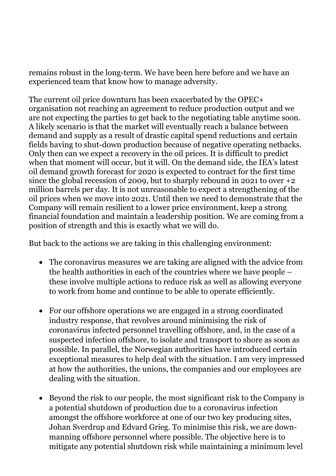remains robust in the long-term. We have been here before and we have an experienced team that know how to manage adversity.

The current oil price downturn has been exacerbated by the OPEC+ organisation not reaching an agreement to reduce production output and we are not expecting the parties to get back to the negotiating table anytime soon. A likely scenario is that the market will eventually reach a balance between demand and supply as a result of drastic capital spend reductions and certain fields having to shut-down production because of negative operating netbacks. Only then can we expect a recovery in the oil prices. It is difficult to predict when that moment will occur, but it will. On the demand side, the IEA's latest oil demand growth forecast for 2020 is expected to contract for the first time since the global recession of 2009, but to sharply rebound in 2021 to over +2 million barrels per day. It is not unreasonable to expect a strengthening of the oil prices when we move into 2021. Until then we need to demonstrate that the Company will remain resilient to a lower price environment, keep a strong financial foundation and maintain a leadership position. We are coming from a position of strength and this is exactly what we will do.

But back to the actions we are taking in this challenging environment:

- The coronavirus measures we are taking are aligned with the advice from the health authorities in each of the countries where we have people – these involve multiple actions to reduce risk as well as allowing everyone to work from home and continue to be able to operate efficiently.
- For our offshore operations we are engaged in a strong coordinated industry response, that revolves around minimising the risk of coronavirus infected personnel travelling offshore, and, in the case of a suspected infection offshore, to isolate and transport to shore as soon as possible. In parallel, the Norwegian authorities have introduced certain exceptional measures to help deal with the situation. I am very impressed at how the authorities, the unions, the companies and our employees are dealing with the situation.
- Beyond the risk to our people, the most significant risk to the Company is a potential shutdown of production due to a coronavirus infection amongst the offshore workforce at one of our two key producing sites, Johan Sverdrup and Edvard Grieg. To minimise this risk, we are downmanning offshore personnel where possible. The objective here is to mitigate any potential shutdown risk while maintaining a minimum level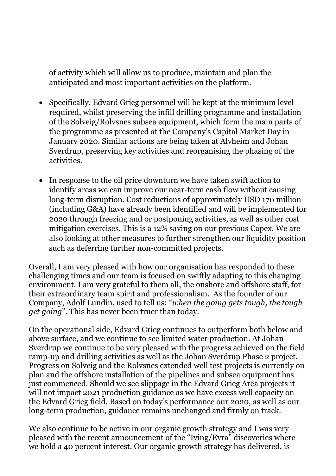of activity which will allow us to produce, maintain and plan the anticipated and most important activities on the platform.

- Specifically, Edvard Grieg personnel will be kept at the minimum level required, whilst preserving the infill drilling programme and installation of the Solveig/Rolvsnes subsea equipment, which form the main parts of the programme as presented at the Company's Capital Market Day in January 2020. Similar actions are being taken at Alvheim and Johan Sverdrup, preserving key activities and reorganising the phasing of the activities.
- In response to the oil price downturn we have taken swift action to identify areas we can improve our near-term cash flow without causing long-term disruption. Cost reductions of approximately USD 170 million (including G&A) have already been identified and will be implemented for 2020 through freezing and or postponing activities, as well as other cost mitigation exercises. This is a 12% saving on our previous Capex. We are also looking at other measures to further strengthen our liquidity position such as deferring further non-committed projects.

Overall, I am very pleased with how our organisation has responded to these challenging times and our team is focused on swiftly adapting to this changing environment. I am very grateful to them all, the onshore and offshore staff, for their extraordinary team spirit and professionalism. As the founder of our Company, Adolf Lundin, used to tell us: "*when the going gets tough, the tough get going*". This has never been truer than today.

On the operational side, Edvard Grieg continues to outperform both below and above surface, and we continue to see limited water production. At Johan Sverdrup we continue to be very pleased with the progress achieved on the field ramp-up and drilling activities as well as the Johan Sverdrup Phase 2 project. Progress on Solveig and the Rolvsnes extended well test projects is currently on plan and the offshore installation of the pipelines and subsea equipment has just commenced. Should we see slippage in the Edvard Grieg Area projects it will not impact 2021 production guidance as we have excess well capacity on the Edvard Grieg field. Based on today's performance our 2020, as well as our long-term production, guidance remains unchanged and firmly on track.

We also continue to be active in our organic growth strategy and I was very pleased with the recent announcement of the "Iving/Evra" discoveries where we hold a 40 percent interest. Our organic growth strategy has delivered, is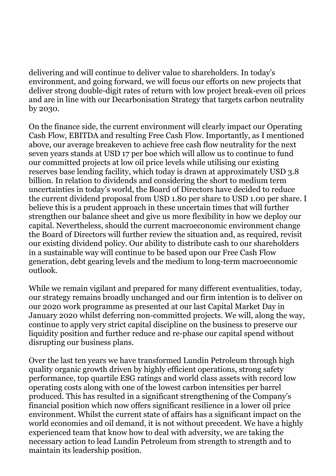delivering and will continue to deliver value to shareholders. In today's environment, and going forward, we will focus our efforts on new projects that deliver strong double-digit rates of return with low project break-even oil prices and are in line with our Decarbonisation Strategy that targets carbon neutrality by 2030.

On the finance side, the current environment will clearly impact our Operating Cash Flow, EBITDA and resulting Free Cash Flow. Importantly, as I mentioned above, our average breakeven to achieve free cash flow neutrality for the next seven years stands at USD 17 per boe which will allow us to continue to fund our committed projects at low oil price levels while utilising our existing reserves base lending facility, which today is drawn at approximately USD 3.8 billion. In relation to dividends and considering the short to medium term uncertainties in today's world, the Board of Directors have decided to reduce the current dividend proposal from USD 1.80 per share to USD 1.00 per share. I believe this is a prudent approach in these uncertain times that will further strengthen our balance sheet and give us more flexibility in how we deploy our capital. Nevertheless, should the current macroeconomic environment change the Board of Directors will further review the situation and, as required, revisit our existing dividend policy. Our ability to distribute cash to our shareholders in a sustainable way will continue to be based upon our Free Cash Flow generation, debt gearing levels and the medium to long-term macroeconomic outlook.

While we remain vigilant and prepared for many different eventualities, today, our strategy remains broadly unchanged and our firm intention is to deliver on our 2020 work programme as presented at our last Capital Market Day in January 2020 whilst deferring non-committed projects. We will, along the way, continue to apply very strict capital discipline on the business to preserve our liquidity position and further reduce and re-phase our capital spend without disrupting our business plans.

Over the last ten years we have transformed Lundin Petroleum through high quality organic growth driven by highly efficient operations, strong safety performance, top quartile ESG ratings and world class assets with record low operating costs along with one of the lowest carbon intensities per barrel produced. This has resulted in a significant strengthening of the Company's financial position which now offers significant resilience in a lower oil price environment. Whilst the current state of affairs has a significant impact on the world economies and oil demand, it is not without precedent. We have a highly experienced team that know how to deal with adversity, we are taking the necessary action to lead Lundin Petroleum from strength to strength and to maintain its leadership position.